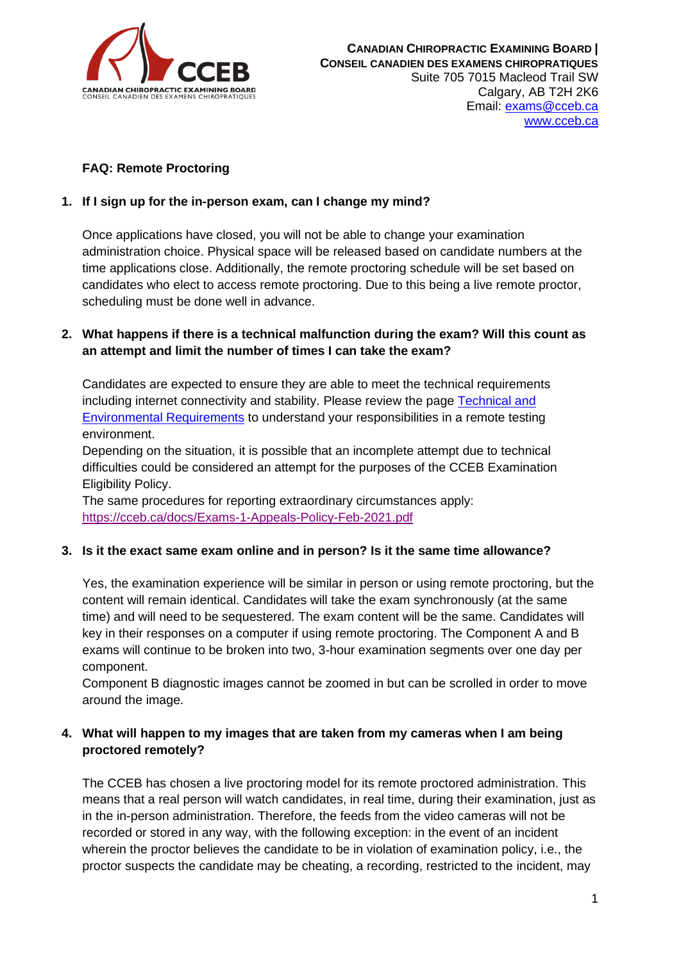

# **FAQ: Remote Proctoring**

### **1. If I sign up for the in-person exam, can I change my mind?**

Once applications have closed, you will not be able to change your examination administration choice. Physical space will be released based on candidate numbers at the time applications close. Additionally, the remote proctoring schedule will be set based on candidates who elect to access remote proctoring. Due to this being a live remote proctor, scheduling must be done well in advance.

## **2. What happens if there is a technical malfunction during the exam? Will this count as an attempt and limit the number of times I can take the exam?**

Candidates are expected to ensure they are able to meet the technical requirements including internet connectivity and stability. Please review the page [Technical and](https://cceb.ca/docs/Technical-and-Environmental-Requirements.pdf)  [Environmental Requirements](https://cceb.ca/docs/Technical-and-Environmental-Requirements.pdf) to understand your responsibilities in a remote testing environment.

Depending on the situation, it is possible that an incomplete attempt due to technical difficulties could be considered an attempt for the purposes of the CCEB Examination Eligibility Policy.

The same procedures for reporting extraordinary circumstances apply: <https://cceb.ca/docs/Exams-1-Appeals-Policy-Feb-2021.pdf>

### **3. Is it the exact same exam online and in person? Is it the same time allowance?**

Yes, the examination experience will be similar in person or using remote proctoring, but the content will remain identical. Candidates will take the exam synchronously (at the same time) and will need to be sequestered. The exam content will be the same. Candidates will key in their responses on a computer if using remote proctoring. The Component A and B exams will continue to be broken into two, 3-hour examination segments over one day per component.

Component B diagnostic images cannot be zoomed in but can be scrolled in order to move around the image.

# **4. What will happen to my images that are taken from my cameras when I am being proctored remotely?**

The CCEB has chosen a live proctoring model for its remote proctored administration. This means that a real person will watch candidates, in real time, during their examination, just as in the in-person administration. Therefore, the feeds from the video cameras will not be recorded or stored in any way, with the following exception: in the event of an incident wherein the proctor believes the candidate to be in violation of examination policy, i.e., the proctor suspects the candidate may be cheating, a recording, restricted to the incident, may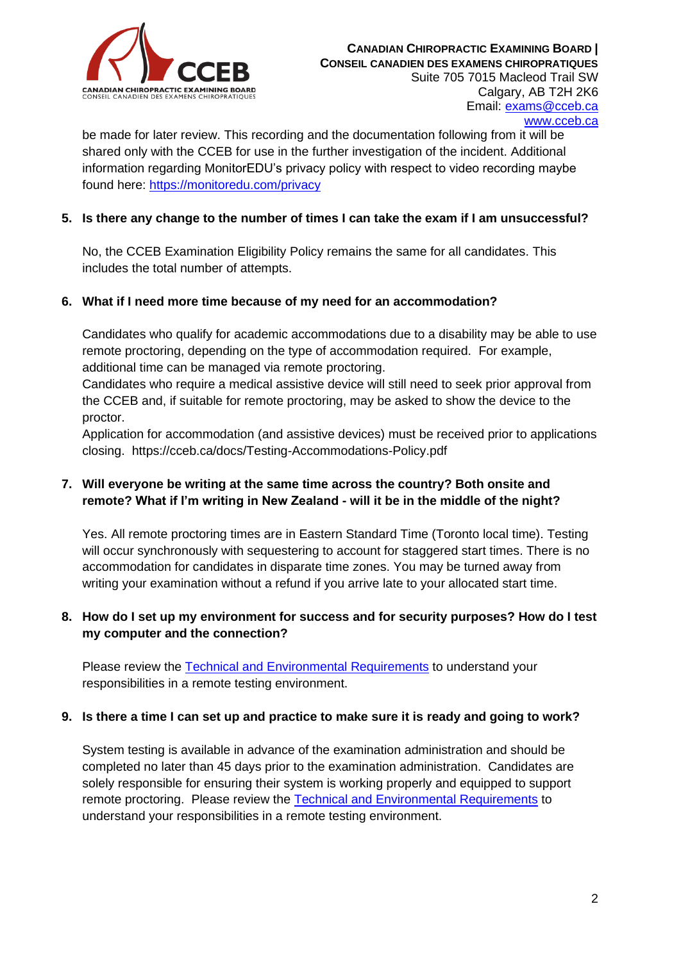

[www.cceb.ca](http://www.cceb.ca/)

be made for later review. This recording and the documentation following from it will be shared only with the CCEB for use in the further investigation of the incident. Additional information regarding MonitorEDU's privacy policy with respect to video recording maybe found here:<https://monitoredu.com/privacy>

## **5. Is there any change to the number of times I can take the exam if I am unsuccessful?**

No, the CCEB Examination Eligibility Policy remains the same for all candidates. This includes the total number of attempts.

### **6. What if I need more time because of my need for an accommodation?**

Candidates who qualify for academic accommodations due to a disability may be able to use remote proctoring, depending on the type of accommodation required. For example, additional time can be managed via remote proctoring.

Candidates who require a medical assistive device will still need to seek prior approval from the CCEB and, if suitable for remote proctoring, may be asked to show the device to the proctor.

Application for accommodation (and assistive devices) must be received prior to applications closing. https://cceb.ca/docs/Testing-Accommodations-Policy.pdf

# **7. Will everyone be writing at the same time across the country? Both onsite and remote? What if I'm writing in New Zealand - will it be in the middle of the night?**

Yes. All remote proctoring times are in Eastern Standard Time (Toronto local time). Testing will occur synchronously with sequestering to account for staggered start times. There is no accommodation for candidates in disparate time zones. You may be turned away from writing your examination without a refund if you arrive late to your allocated start time.

### **8. How do I set up my environment for success and for security purposes? How do I test my computer and the connection?**

Please review the **Technical and Environmental Requirements** to understand your responsibilities in a remote testing environment.

### **9. Is there a time I can set up and practice to make sure it is ready and going to work?**

System testing is available in advance of the examination administration and should be completed no later than 45 days prior to the examination administration. Candidates are solely responsible for ensuring their system is working properly and equipped to support remote proctoring. Please review the [Technical and Environmental Requirements](https://cceb.ca/docs/Technical-and-Environmental-Requirements.pdf) to understand your responsibilities in a remote testing environment.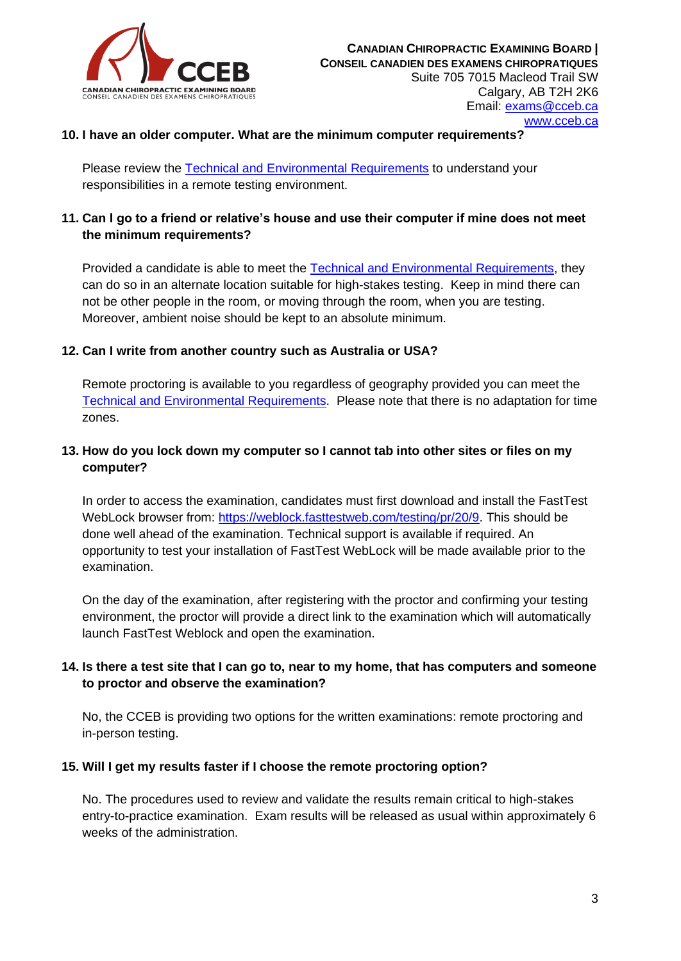

### **10. I have an older computer. What are the minimum computer requirements?**

Please review the [Technical and Environmental Requirements](https://cceb.ca/docs/Technical-and-Environmental-Requirements.pdf) to understand your responsibilities in a remote testing environment.

## **11. Can I go to a friend or relative's house and use their computer if mine does not meet the minimum requirements?**

Provided a candidate is able to meet the [Technical and Environmental Requirements,](https://cceb.ca/docs/Technical-and-Environmental-Requirements.pdf) they can do so in an alternate location suitable for high-stakes testing. Keep in mind there can not be other people in the room, or moving through the room, when you are testing. Moreover, ambient noise should be kept to an absolute minimum.

### **12. Can I write from another country such as Australia or USA?**

Remote proctoring is available to you regardless of geography provided you can meet the [Technical and Environmental Requirements.](https://cceb.ca/docs/Technical-and-Environmental-Requirements.pdf) Please note that there is no adaptation for time zones.

## **13. How do you lock down my computer so I cannot tab into other sites or files on my computer?**

In order to access the examination, candidates must first download and install the FastTest WebLock browser from: [https://weblock.fasttestweb.com/testing/pr/20/9.](https://weblock.fasttestweb.com/testing/pr/20/9) This should be done well ahead of the examination. Technical support is available if required. An opportunity to test your installation of FastTest WebLock will be made available prior to the examination.

On the day of the examination, after registering with the proctor and confirming your testing environment, the proctor will provide a direct link to the examination which will automatically launch FastTest Weblock and open the examination.

# **14. Is there a test site that I can go to, near to my home, that has computers and someone to proctor and observe the examination?**

No, the CCEB is providing two options for the written examinations: remote proctoring and in-person testing.

### **15. Will I get my results faster if I choose the remote proctoring option?**

No. The procedures used to review and validate the results remain critical to high-stakes entry-to-practice examination. Exam results will be released as usual within approximately 6 weeks of the administration.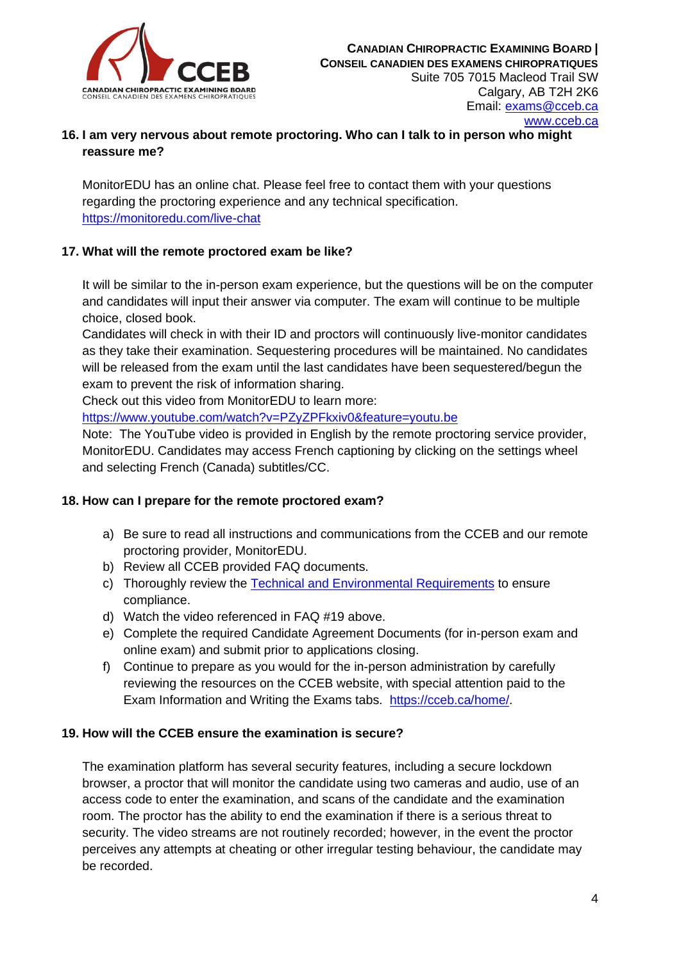

# **16. I am very nervous about remote proctoring. Who can I talk to in person who might reassure me?**

MonitorEDU has an online chat. Please feel free to contact them with your questions regarding the proctoring experience and any technical specification. <https://monitoredu.com/live-chat>

# **17. What will the remote proctored exam be like?**

It will be similar to the in-person exam experience, but the questions will be on the computer and candidates will input their answer via computer. The exam will continue to be multiple choice, closed book.

Candidates will check in with their ID and proctors will continuously live-monitor candidates as they take their examination. Sequestering procedures will be maintained. No candidates will be released from the exam until the last candidates have been sequestered/begun the exam to prevent the risk of information sharing.

Check out this video from MonitorEDU to learn more:

<https://www.youtube.com/watch?v=PZyZPFkxiv0&feature=youtu.be>

Note: The YouTube video is provided in English by the remote proctoring service provider, MonitorEDU. Candidates may access French captioning by clicking on the settings wheel and selecting French (Canada) subtitles/CC.

# **18. How can I prepare for the remote proctored exam?**

- a) Be sure to read all instructions and communications from the CCEB and our remote proctoring provider, MonitorEDU.
- b) Review all CCEB provided FAQ documents.
- c) Thoroughly review the [Technical and Environmental Requirements](https://cceb.ca/docs/Technical-and-Environmental-Requirements.pdf) to ensure compliance.
- d) Watch the video referenced in FAQ #19 above.
- e) Complete the required Candidate Agreement Documents (for in-person exam and online exam) and submit prior to applications closing.
- f) Continue to prepare as you would for the in-person administration by carefully reviewing the resources on the CCEB website, with special attention paid to the Exam Information and Writing the Exams tabs. [https://cceb.ca/home/.](https://cceb.ca/home/)

# **19. How will the CCEB ensure the examination is secure?**

The examination platform has several security features, including a secure lockdown browser, a proctor that will monitor the candidate using two cameras and audio, use of an access code to enter the examination, and scans of the candidate and the examination room. The proctor has the ability to end the examination if there is a serious threat to security. The video streams are not routinely recorded; however, in the event the proctor perceives any attempts at cheating or other irregular testing behaviour, the candidate may be recorded.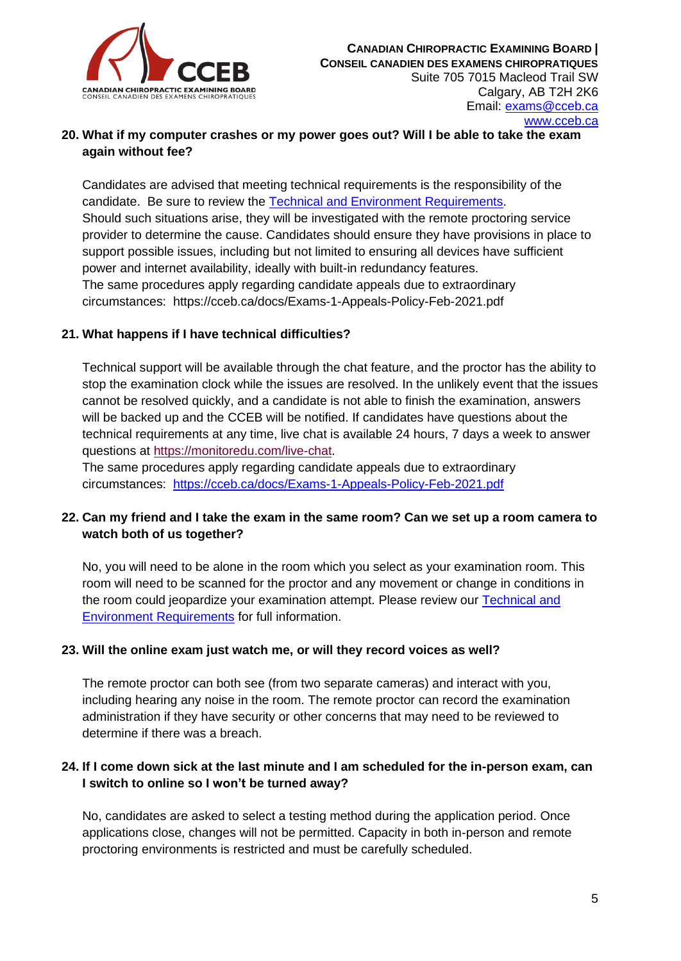

# **20. What if my computer crashes or my power goes out? Will I be able to take the exam again without fee?**

Candidates are advised that meeting technical requirements is the responsibility of the candidate. Be sure to review the [Technical and Environment Requirements.](https://cceb.ca/docs/Technical-and-Environmental-Requirements.pdf) Should such situations arise, they will be investigated with the remote proctoring service provider to determine the cause. Candidates should ensure they have provisions in place to support possible issues, including but not limited to ensuring all devices have sufficient power and internet availability, ideally with built-in redundancy features. The same procedures apply regarding candidate appeals due to extraordinary circumstances: https://cceb.ca/docs/Exams-1-Appeals-Policy-Feb-2021.pdf

# **21. What happens if I have technical difficulties?**

Technical support will be available through the chat feature, and the proctor has the ability to stop the examination clock while the issues are resolved. In the unlikely event that the issues cannot be resolved quickly, and a candidate is not able to finish the examination, answers will be backed up and the CCEB will be notified. If candidates have questions about the technical requirements at any time, live chat is available 24 hours, 7 days a week to answer questions at [https://monitoredu.com/live-chat.](https://monitoredu.com/live-chat)

The same procedures apply regarding candidate appeals due to extraordinary circumstances: <https://cceb.ca/docs/Exams-1-Appeals-Policy-Feb-2021.pdf>

# **22. Can my friend and I take the exam in the same room? Can we set up a room camera to watch both of us together?**

No, you will need to be alone in the room which you select as your examination room. This room will need to be scanned for the proctor and any movement or change in conditions in the room could jeopardize your examination attempt. Please review our [Technical and](https://cceb.ca/docs/Technical-and-Environmental-Requirements.pdf)  [Environment Requirements](https://cceb.ca/docs/Technical-and-Environmental-Requirements.pdf) for full information.

# **23. Will the online exam just watch me, or will they record voices as well?**

The remote proctor can both see (from two separate cameras) and interact with you, including hearing any noise in the room. The remote proctor can record the examination administration if they have security or other concerns that may need to be reviewed to determine if there was a breach.

### **24. If I come down sick at the last minute and I am scheduled for the in-person exam, can I switch to online so I won't be turned away?**

No, candidates are asked to select a testing method during the application period. Once applications close, changes will not be permitted. Capacity in both in-person and remote proctoring environments is restricted and must be carefully scheduled.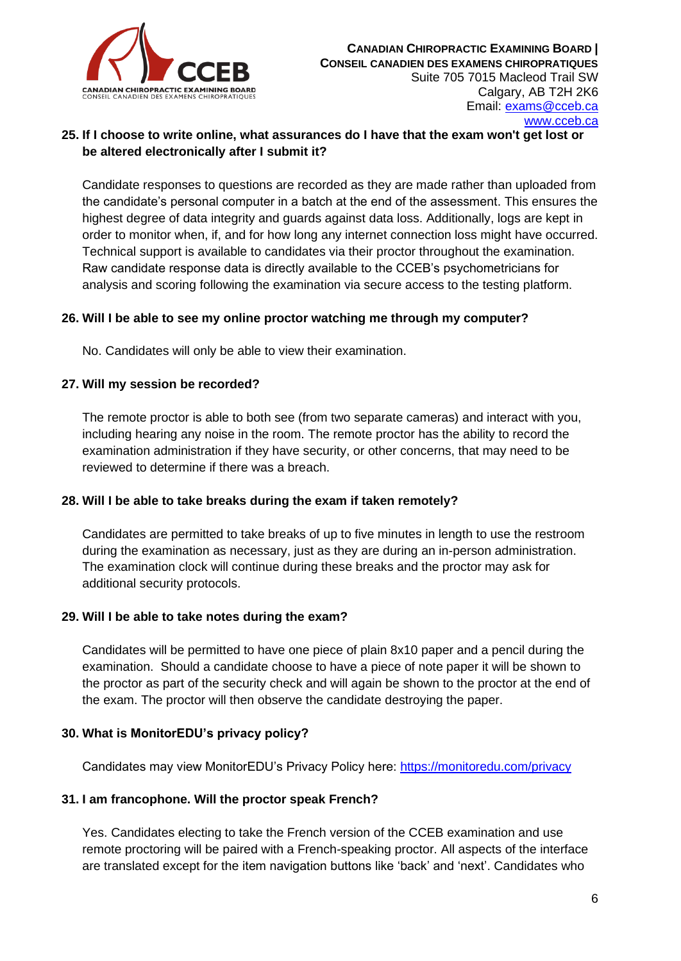

# **25. If I choose to write online, what assurances do I have that the exam won't get lost or be altered electronically after I submit it?**

Candidate responses to questions are recorded as they are made rather than uploaded from the candidate's personal computer in a batch at the end of the assessment. This ensures the highest degree of data integrity and guards against data loss. Additionally, logs are kept in order to monitor when, if, and for how long any internet connection loss might have occurred. Technical support is available to candidates via their proctor throughout the examination. Raw candidate response data is directly available to the CCEB's psychometricians for analysis and scoring following the examination via secure access to the testing platform.

### **26. Will I be able to see my online proctor watching me through my computer?**

No. Candidates will only be able to view their examination.

### **27. Will my session be recorded?**

The remote proctor is able to both see (from two separate cameras) and interact with you, including hearing any noise in the room. The remote proctor has the ability to record the examination administration if they have security, or other concerns, that may need to be reviewed to determine if there was a breach.

### **28. Will I be able to take breaks during the exam if taken remotely?**

Candidates are permitted to take breaks of up to five minutes in length to use the restroom during the examination as necessary, just as they are during an in-person administration. The examination clock will continue during these breaks and the proctor may ask for additional security protocols.

### **29. Will I be able to take notes during the exam?**

Candidates will be permitted to have one piece of plain 8x10 paper and a pencil during the examination. Should a candidate choose to have a piece of note paper it will be shown to the proctor as part of the security check and will again be shown to the proctor at the end of the exam. The proctor will then observe the candidate destroying the paper.

### **30. What is MonitorEDU's privacy policy?**

Candidates may view MonitorEDU's Privacy Policy here:<https://monitoredu.com/privacy>

### **31. I am francophone. Will the proctor speak French?**

Yes. Candidates electing to take the French version of the CCEB examination and use remote proctoring will be paired with a French-speaking proctor. All aspects of the interface are translated except for the item navigation buttons like 'back' and 'next'. Candidates who